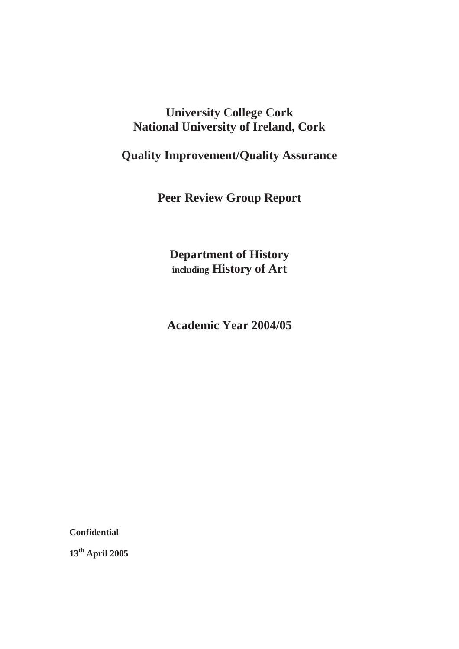# **University College Cork National University of Ireland, Cork**

# **Quality Improvement/Quality Assurance**

**Peer Review Group Report** 

**Department of History including History of Art** 

**Academic Year 2004/05** 

**Confidential** 

**13th April 2005**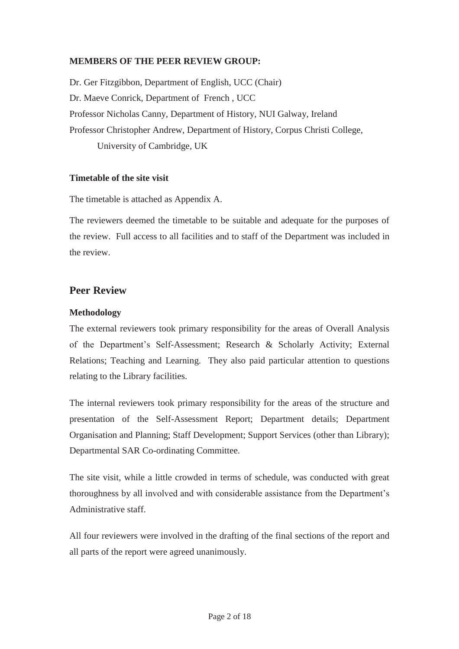## **MEMBERS OF THE PEER REVIEW GROUP:**

Dr. Ger Fitzgibbon, Department of English, UCC (Chair) Dr. Maeve Conrick, Department of French , UCC Professor Nicholas Canny, Department of History, NUI Galway, Ireland Professor Christopher Andrew, Department of History, Corpus Christi College, University of Cambridge, UK

#### **Timetable of the site visit**

The timetable is attached as Appendix A.

The reviewers deemed the timetable to be suitable and adequate for the purposes of the review. Full access to all facilities and to staff of the Department was included in the review.

## **Peer Review**

#### **Methodology**

The external reviewers took primary responsibility for the areas of Overall Analysis of the Department's Self-Assessment; Research & Scholarly Activity; External Relations; Teaching and Learning. They also paid particular attention to questions relating to the Library facilities.

The internal reviewers took primary responsibility for the areas of the structure and presentation of the Self-Assessment Report; Department details; Department Organisation and Planning; Staff Development; Support Services (other than Library); Departmental SAR Co-ordinating Committee.

The site visit, while a little crowded in terms of schedule, was conducted with great thoroughness by all involved and with considerable assistance from the Department's Administrative staff.

All four reviewers were involved in the drafting of the final sections of the report and all parts of the report were agreed unanimously.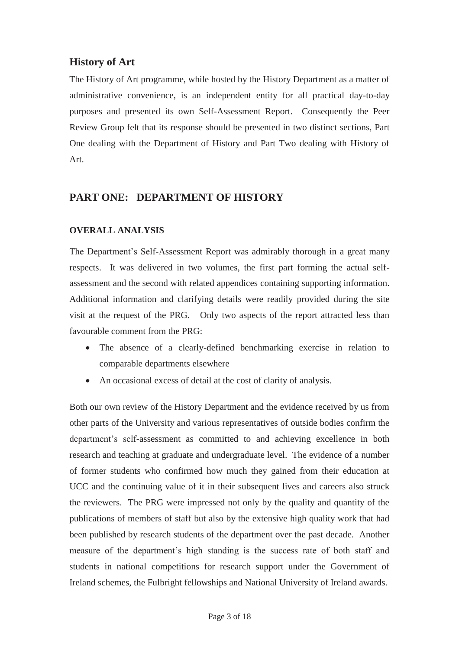# **History of Art**

The History of Art programme, while hosted by the History Department as a matter of administrative convenience, is an independent entity for all practical day-to-day purposes and presented its own Self-Assessment Report. Consequently the Peer Review Group felt that its response should be presented in two distinct sections, Part One dealing with the Department of History and Part Two dealing with History of Art.

# **PART ONE: DEPARTMENT OF HISTORY**

## **OVERALL ANALYSIS**

The Department's Self-Assessment Report was admirably thorough in a great many respects. It was delivered in two volumes, the first part forming the actual selfassessment and the second with related appendices containing supporting information. Additional information and clarifying details were readily provided during the site visit at the request of the PRG. Only two aspects of the report attracted less than favourable comment from the PRG:

- The absence of a clearly-defined benchmarking exercise in relation to comparable departments elsewhere
- An occasional excess of detail at the cost of clarity of analysis.

Both our own review of the History Department and the evidence received by us from other parts of the University and various representatives of outside bodies confirm the department's self-assessment as committed to and achieving excellence in both research and teaching at graduate and undergraduate level. The evidence of a number of former students who confirmed how much they gained from their education at UCC and the continuing value of it in their subsequent lives and careers also struck the reviewers. The PRG were impressed not only by the quality and quantity of the publications of members of staff but also by the extensive high quality work that had been published by research students of the department over the past decade. Another measure of the department's high standing is the success rate of both staff and students in national competitions for research support under the Government of Ireland schemes, the Fulbright fellowships and National University of Ireland awards.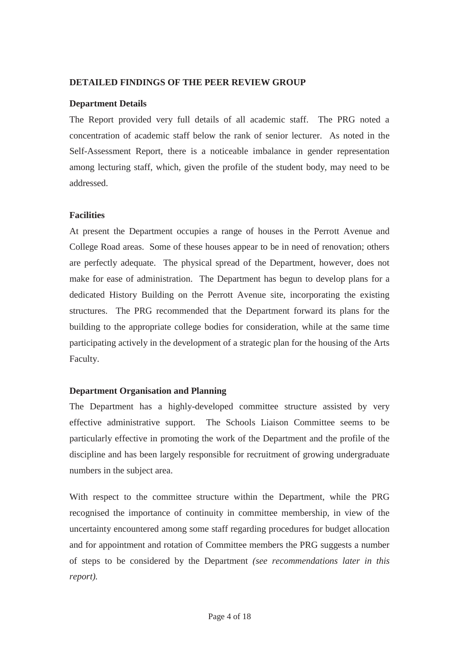#### **DETAILED FINDINGS OF THE PEER REVIEW GROUP**

#### **Department Details**

The Report provided very full details of all academic staff. The PRG noted a concentration of academic staff below the rank of senior lecturer. As noted in the Self-Assessment Report, there is a noticeable imbalance in gender representation among lecturing staff, which, given the profile of the student body, may need to be addressed.

#### **Facilities**

At present the Department occupies a range of houses in the Perrott Avenue and College Road areas. Some of these houses appear to be in need of renovation; others are perfectly adequate. The physical spread of the Department, however, does not make for ease of administration. The Department has begun to develop plans for a dedicated History Building on the Perrott Avenue site, incorporating the existing structures. The PRG recommended that the Department forward its plans for the building to the appropriate college bodies for consideration, while at the same time participating actively in the development of a strategic plan for the housing of the Arts Faculty.

## **Department Organisation and Planning**

The Department has a highly-developed committee structure assisted by very effective administrative support. The Schools Liaison Committee seems to be particularly effective in promoting the work of the Department and the profile of the discipline and has been largely responsible for recruitment of growing undergraduate numbers in the subject area.

With respect to the committee structure within the Department, while the PRG recognised the importance of continuity in committee membership, in view of the uncertainty encountered among some staff regarding procedures for budget allocation and for appointment and rotation of Committee members the PRG suggests a number of steps to be considered by the Department *(see recommendations later in this report).*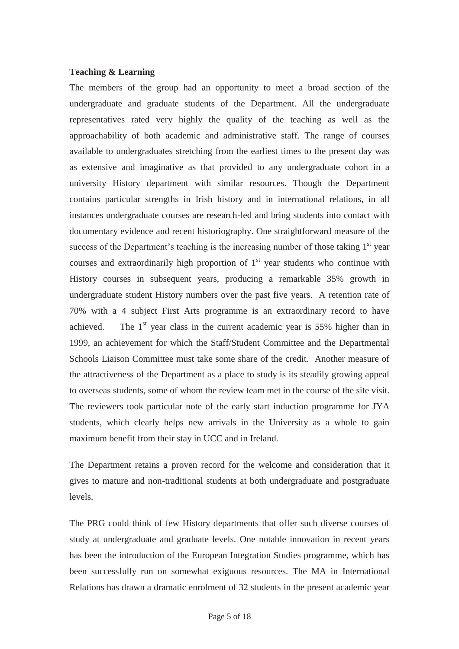#### **Teaching & Learning**

The members of the group had an opportunity to meet a broad section of the undergraduate and graduate students of the Department. All the undergraduate representatives rated very highly the quality of the teaching as well as the approachability of both academic and administrative staff. The range of courses available to undergraduates stretching from the earliest times to the present day was as extensive and imaginative as that provided to any undergraduate cohort in a university History department with similar resources. Though the Department contains particular strengths in Irish history and in international relations, in all instances undergraduate courses are research-led and bring students into contact with documentary evidence and recent historiography. One straightforward measure of the success of the Department's teaching is the increasing number of those taking  $1<sup>st</sup>$  year courses and extraordinarily high proportion of  $1<sup>st</sup>$  year students who continue with History courses in subsequent years, producing a remarkable 35% growth in undergraduate student History numbers over the past five years. A retention rate of 70% with a 4 subject First Arts programme is an extraordinary record to have achieved. The  $1<sup>st</sup>$  year class in the current academic year is 55% higher than in 1999, an achievement for which the Staff/Student Committee and the Departmental Schools Liaison Committee must take some share of the credit. Another measure of the attractiveness of the Department as a place to study is its steadily growing appeal to overseas students, some of whom the review team met in the course of the site visit. The reviewers took particular note of the early start induction programme for JYA students, which clearly helps new arrivals in the University as a whole to gain maximum benefit from their stay in UCC and in Ireland.

The Department retains a proven record for the welcome and consideration that it gives to mature and non-traditional students at both undergraduate and postgraduate levels.

The PRG could think of few History departments that offer such diverse courses of study at undergraduate and graduate levels. One notable innovation in recent years has been the introduction of the European Integration Studies programme, which has been successfully run on somewhat exiguous resources. The MA in International Relations has drawn a dramatic enrolment of 32 students in the present academic year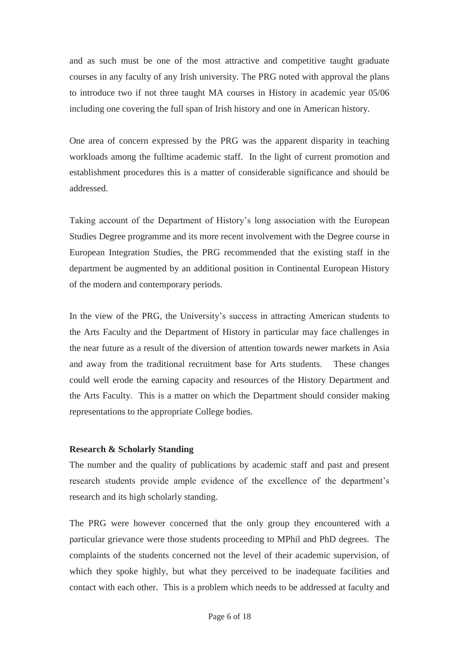and as such must be one of the most attractive and competitive taught graduate courses in any faculty of any Irish university. The PRG noted with approval the plans to introduce two if not three taught MA courses in History in academic year 05/06 including one covering the full span of Irish history and one in American history.

One area of concern expressed by the PRG was the apparent disparity in teaching workloads among the fulltime academic staff. In the light of current promotion and establishment procedures this is a matter of considerable significance and should be addressed.

Taking account of the Department of History's long association with the European Studies Degree programme and its more recent involvement with the Degree course in European Integration Studies, the PRG recommended that the existing staff in the department be augmented by an additional position in Continental European History of the modern and contemporary periods.

In the view of the PRG, the University's success in attracting American students to the Arts Faculty and the Department of History in particular may face challenges in the near future as a result of the diversion of attention towards newer markets in Asia and away from the traditional recruitment base for Arts students. These changes could well erode the earning capacity and resources of the History Department and the Arts Faculty. This is a matter on which the Department should consider making representations to the appropriate College bodies.

#### **Research & Scholarly Standing**

The number and the quality of publications by academic staff and past and present research students provide ample evidence of the excellence of the department's research and its high scholarly standing.

The PRG were however concerned that the only group they encountered with a particular grievance were those students proceeding to MPhil and PhD degrees. The complaints of the students concerned not the level of their academic supervision, of which they spoke highly, but what they perceived to be inadequate facilities and contact with each other. This is a problem which needs to be addressed at faculty and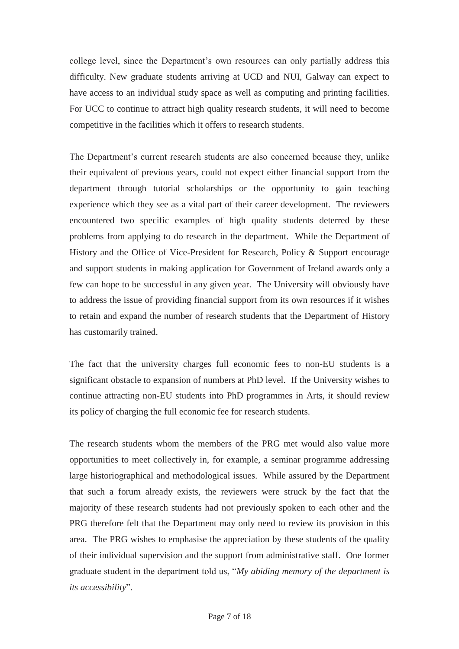college level, since the Department's own resources can only partially address this difficulty. New graduate students arriving at UCD and NUI, Galway can expect to have access to an individual study space as well as computing and printing facilities. For UCC to continue to attract high quality research students, it will need to become competitive in the facilities which it offers to research students.

The Department's current research students are also concerned because they, unlike their equivalent of previous years, could not expect either financial support from the department through tutorial scholarships or the opportunity to gain teaching experience which they see as a vital part of their career development. The reviewers encountered two specific examples of high quality students deterred by these problems from applying to do research in the department. While the Department of History and the Office of Vice-President for Research, Policy & Support encourage and support students in making application for Government of Ireland awards only a few can hope to be successful in any given year. The University will obviously have to address the issue of providing financial support from its own resources if it wishes to retain and expand the number of research students that the Department of History has customarily trained.

The fact that the university charges full economic fees to non-EU students is a significant obstacle to expansion of numbers at PhD level. If the University wishes to continue attracting non-EU students into PhD programmes in Arts, it should review its policy of charging the full economic fee for research students.

The research students whom the members of the PRG met would also value more opportunities to meet collectively in, for example, a seminar programme addressing large historiographical and methodological issues. While assured by the Department that such a forum already exists, the reviewers were struck by the fact that the majority of these research students had not previously spoken to each other and the PRG therefore felt that the Department may only need to review its provision in this area. The PRG wishes to emphasise the appreciation by these students of the quality of their individual supervision and the support from administrative staff. One former graduate student in the department told us, "*My abiding memory of the department is its accessibility*".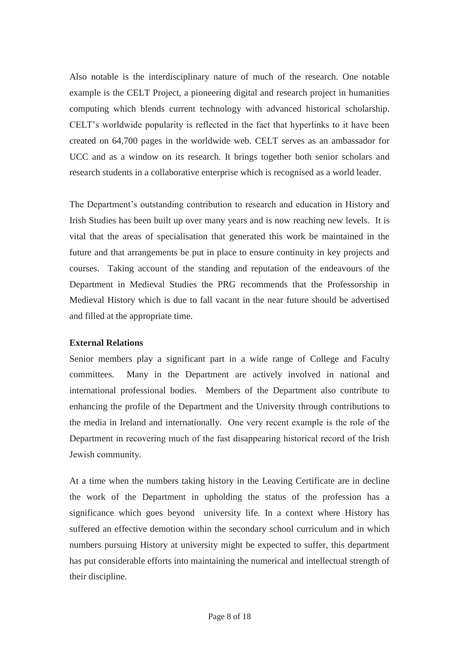Also notable is the interdisciplinary nature of much of the research. One notable example is the CELT Project, a pioneering digital and research project in humanities computing which blends current technology with advanced historical scholarship. CELT's worldwide popularity is reflected in the fact that hyperlinks to it have been created on 64,700 pages in the worldwide web. CELT serves as an ambassador for UCC and as a window on its research. It brings together both senior scholars and research students in a collaborative enterprise which is recognised as a world leader.

The Department's outstanding contribution to research and education in History and Irish Studies has been built up over many years and is now reaching new levels. It is vital that the areas of specialisation that generated this work be maintained in the future and that arrangements be put in place to ensure continuity in key projects and courses. Taking account of the standing and reputation of the endeavours of the Department in Medieval Studies the PRG recommends that the Professorship in Medieval History which is due to fall vacant in the near future should be advertised and filled at the appropriate time.

## **External Relations**

Senior members play a significant part in a wide range of College and Faculty committees. Many in the Department are actively involved in national and international professional bodies. Members of the Department also contribute to enhancing the profile of the Department and the University through contributions to the media in Ireland and internationally. One very recent example is the role of the Department in recovering much of the fast disappearing historical record of the Irish Jewish community.

At a time when the numbers taking history in the Leaving Certificate are in decline the work of the Department in upholding the status of the profession has a significance which goes beyond university life. In a context where History has suffered an effective demotion within the secondary school curriculum and in which numbers pursuing History at university might be expected to suffer, this department has put considerable efforts into maintaining the numerical and intellectual strength of their discipline.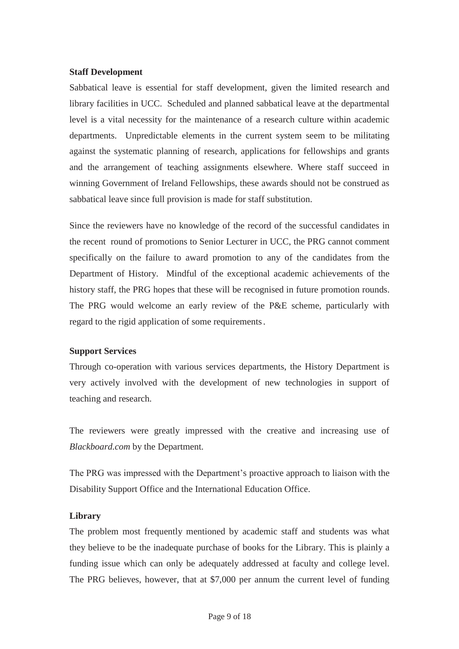#### **Staff Development**

Sabbatical leave is essential for staff development, given the limited research and library facilities in UCC. Scheduled and planned sabbatical leave at the departmental level is a vital necessity for the maintenance of a research culture within academic departments. Unpredictable elements in the current system seem to be militating against the systematic planning of research, applications for fellowships and grants and the arrangement of teaching assignments elsewhere. Where staff succeed in winning Government of Ireland Fellowships, these awards should not be construed as sabbatical leave since full provision is made for staff substitution.

Since the reviewers have no knowledge of the record of the successful candidates in the recent round of promotions to Senior Lecturer in UCC, the PRG cannot comment specifically on the failure to award promotion to any of the candidates from the Department of History. Mindful of the exceptional academic achievements of the history staff, the PRG hopes that these will be recognised in future promotion rounds. The PRG would welcome an early review of the P&E scheme, particularly with regard to the rigid application of some requirements.

#### **Support Services**

Through co-operation with various services departments, the History Department is very actively involved with the development of new technologies in support of teaching and research.

The reviewers were greatly impressed with the creative and increasing use of *Blackboard.com* by the Department.

The PRG was impressed with the Department's proactive approach to liaison with the Disability Support Office and the International Education Office.

#### **Library**

The problem most frequently mentioned by academic staff and students was what they believe to be the inadequate purchase of books for the Library. This is plainly a funding issue which can only be adequately addressed at faculty and college level. The PRG believes, however, that at \$7,000 per annum the current level of funding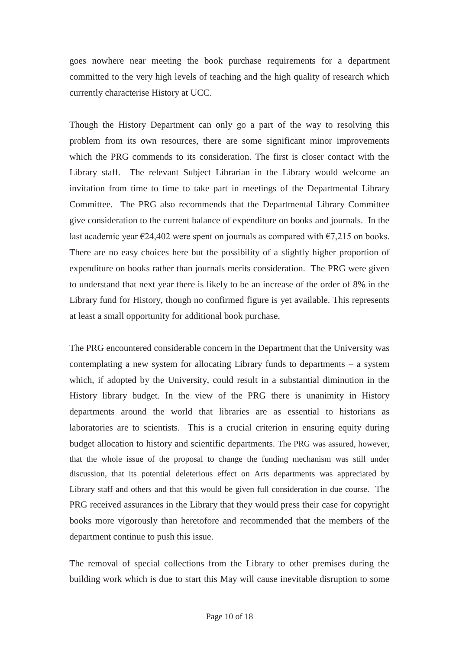goes nowhere near meeting the book purchase requirements for a department committed to the very high levels of teaching and the high quality of research which currently characterise History at UCC.

Though the History Department can only go a part of the way to resolving this problem from its own resources, there are some significant minor improvements which the PRG commends to its consideration. The first is closer contact with the Library staff. The relevant Subject Librarian in the Library would welcome an invitation from time to time to take part in meetings of the Departmental Library Committee. The PRG also recommends that the Departmental Library Committee give consideration to the current balance of expenditure on books and journals. In the last academic year  $\epsilon$ 24,402 were spent on journals as compared with  $\epsilon$ 7,215 on books. There are no easy choices here but the possibility of a slightly higher proportion of expenditure on books rather than journals merits consideration. The PRG were given to understand that next year there is likely to be an increase of the order of 8% in the Library fund for History, though no confirmed figure is yet available. This represents at least a small opportunity for additional book purchase.

The PRG encountered considerable concern in the Department that the University was contemplating a new system for allocating Library funds to departments – a system which, if adopted by the University, could result in a substantial diminution in the History library budget. In the view of the PRG there is unanimity in History departments around the world that libraries are as essential to historians as laboratories are to scientists. This is a crucial criterion in ensuring equity during budget allocation to history and scientific departments. The PRG was assured, however, that the whole issue of the proposal to change the funding mechanism was still under discussion, that its potential deleterious effect on Arts departments was appreciated by Library staff and others and that this would be given full consideration in due course. The PRG received assurances in the Library that they would press their case for copyright books more vigorously than heretofore and recommended that the members of the department continue to push this issue.

The removal of special collections from the Library to other premises during the building work which is due to start this May will cause inevitable disruption to some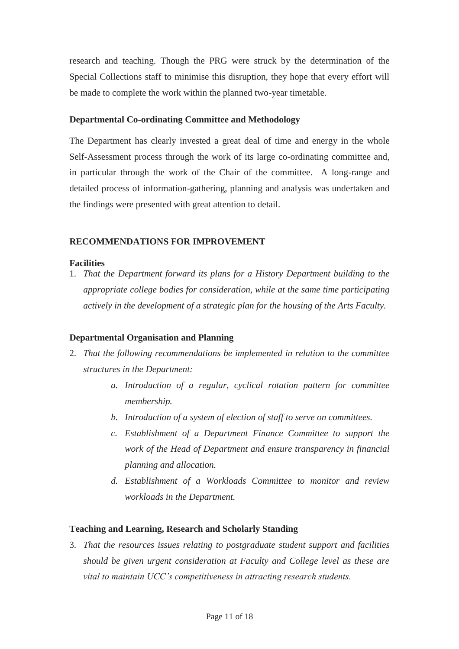research and teaching. Though the PRG were struck by the determination of the Special Collections staff to minimise this disruption, they hope that every effort will be made to complete the work within the planned two-year timetable.

#### **Departmental Co-ordinating Committee and Methodology**

The Department has clearly invested a great deal of time and energy in the whole Self-Assessment process through the work of its large co-ordinating committee and, in particular through the work of the Chair of the committee. A long-range and detailed process of information-gathering, planning and analysis was undertaken and the findings were presented with great attention to detail.

#### **RECOMMENDATIONS FOR IMPROVEMENT**

#### **Facilities**

1. *That the Department forward its plans for a History Department building to the appropriate college bodies for consideration, while at the same time participating actively in the development of a strategic plan for the housing of the Arts Faculty.* 

#### **Departmental Organisation and Planning**

- 2. *That the following recommendations be implemented in relation to the committee structures in the Department:* 
	- *a. Introduction of a regular, cyclical rotation pattern for committee membership.*
	- *b. Introduction of a system of election of staff to serve on committees.*
	- *c. Establishment of a Department Finance Committee to support the work of the Head of Department and ensure transparency in financial planning and allocation.*
	- *d. Establishment of a Workloads Committee to monitor and review workloads in the Department.*

#### **Teaching and Learning, Research and Scholarly Standing**

3. *That the resources issues relating to postgraduate student support and facilities should be given urgent consideration at Faculty and College level as these are vital to maintain UCC's competitiveness in attracting research students.*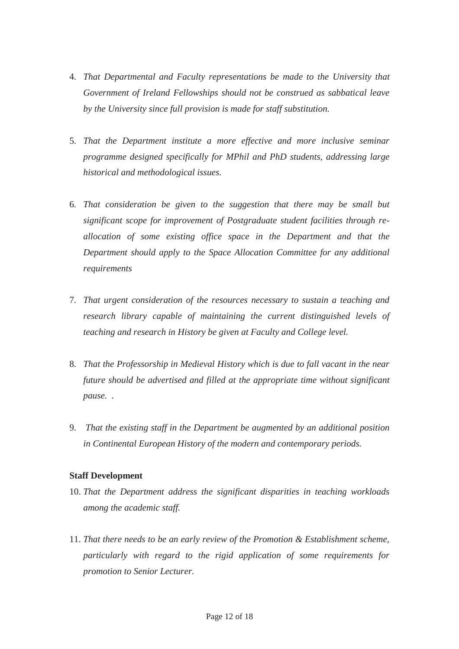- 4. *That Departmental and Faculty representations be made to the University that Government of Ireland Fellowships should not be construed as sabbatical leave by the University since full provision is made for staff substitution.*
- 5. *That the Department institute a more effective and more inclusive seminar programme designed specifically for MPhil and PhD students, addressing large historical and methodological issues.*
- 6. *That consideration be given to the suggestion that there may be small but significant scope for improvement of Postgraduate student facilities through reallocation of some existing office space in the Department and that the Department should apply to the Space Allocation Committee for any additional requirements*
- 7. *That urgent consideration of the resources necessary to sustain a teaching and research library capable of maintaining the current distinguished levels of teaching and research in History be given at Faculty and College level.*
- 8. *That the Professorship in Medieval History which is due to fall vacant in the near future should be advertised and filled at the appropriate time without significant pause. .*
- 9. *That the existing staff in the Department be augmented by an additional position in Continental European History of the modern and contemporary periods.*

#### **Staff Development**

- 10. *That the Department address the significant disparities in teaching workloads among the academic staff.*
- 11. *That there needs to be an early review of the Promotion & Establishment scheme, particularly with regard to the rigid application of some requirements for promotion to Senior Lecturer.*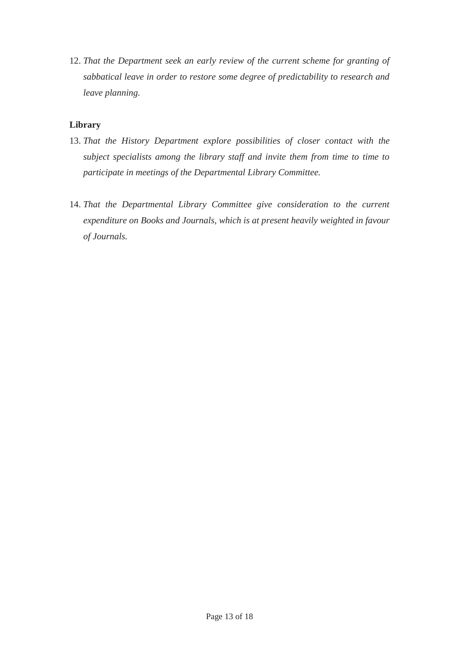12. *That the Department seek an early review of the current scheme for granting of sabbatical leave in order to restore some degree of predictability to research and leave planning.* 

## **Library**

- 13. *That the History Department explore possibilities of closer contact with the subject specialists among the library staff and invite them from time to time to participate in meetings of the Departmental Library Committee.*
- 14. *That the Departmental Library Committee give consideration to the current expenditure on Books and Journals, which is at present heavily weighted in favour of Journals.*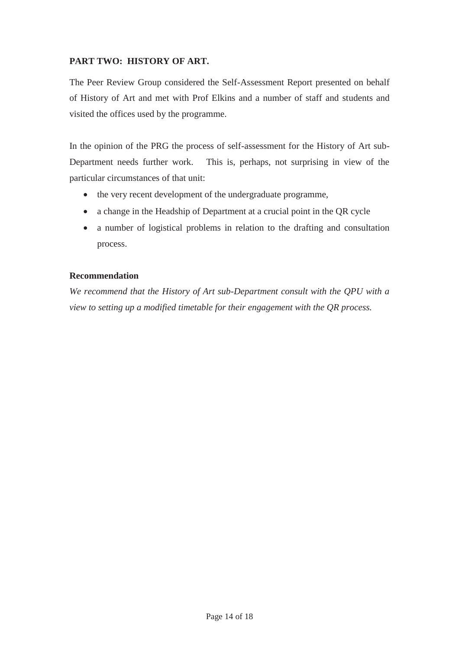## **PART TWO: HISTORY OF ART.**

The Peer Review Group considered the Self-Assessment Report presented on behalf of History of Art and met with Prof Elkins and a number of staff and students and visited the offices used by the programme.

In the opinion of the PRG the process of self-assessment for the History of Art sub-Department needs further work. This is, perhaps, not surprising in view of the particular circumstances of that unit:

- the very recent development of the undergraduate programme,
- a change in the Headship of Department at a crucial point in the QR cycle
- a number of logistical problems in relation to the drafting and consultation process.

#### **Recommendation**

*We recommend that the History of Art sub-Department consult with the QPU with a view to setting up a modified timetable for their engagement with the QR process.*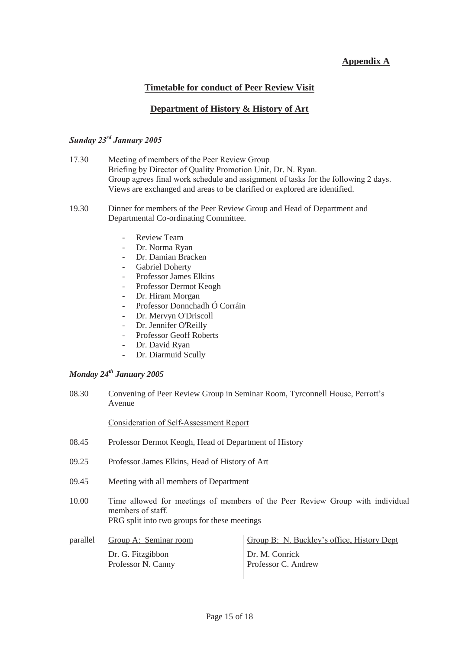## **Appendix A**

## **Timetable for conduct of Peer Review Visit**

#### **Department of History & History of Art**

## *Sunday 23rd January 2005*

| 17.30 | Meeting of members of the Peer Review Group                                        |
|-------|------------------------------------------------------------------------------------|
|       | Briefing by Director of Quality Promotion Unit, Dr. N. Ryan.                       |
|       | Group agrees final work schedule and assignment of tasks for the following 2 days. |
|       | Views are exchanged and areas to be clarified or explored are identified.          |
|       |                                                                                    |

- 19.30 Dinner for members of the Peer Review Group and Head of Department and Departmental Co-ordinating Committee.
	- Review Team
	- Dr. Norma Ryan
	- Dr. Damian Bracken
	- Gabriel Doherty
	- Professor James Elkins
	- Professor Dermot Keogh
	- Dr. Hiram Morgan
	- Professor Donnchadh Ó Corráin
	- Dr. Mervyn O'Driscoll
	- Dr. Jennifer O'Reilly
	- Professor Geoff Roberts
	- Dr. David Ryan
	- Dr. Diarmuid Scully

## *Monday 24th January 2005*

08.30 Convening of Peer Review Group in Seminar Room, Tyrconnell House, Perrott's Avenue

Consideration of Self-Assessment Report

- 08.45 Professor Dermot Keogh, Head of Department of History
- 09.25 Professor James Elkins, Head of History of Art
- 09.45 Meeting with all members of Department
- 10.00 Time allowed for meetings of members of the Peer Review Group with individual members of staff. PRG split into two groups for these meetings

| parallel | Group A: Seminar room                   | Group B: N. Buckley's office, History Dept |
|----------|-----------------------------------------|--------------------------------------------|
|          | Dr. G. Fitzgibbon<br>Professor N. Canny | Dr. M. Conrick<br>Professor C. Andrew      |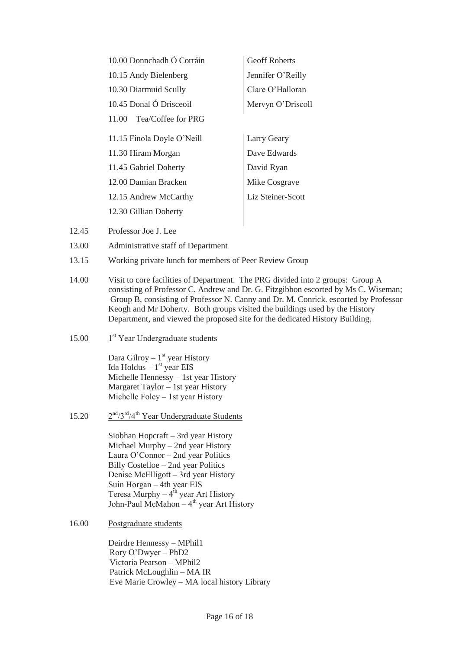| 10.00 Donnchadh Ó Corráin   | <b>Geoff Roberts</b>     |
|-----------------------------|--------------------------|
| 10.15 Andy Bielenberg       | Jennifer O'Reilly        |
| 10.30 Diarmuid Scully       | Clare O'Halloran         |
| 10.45 Donal Ó Drisceoil     | Mervyn O'Driscoll        |
| Tea/Coffee for PRG<br>11.00 |                          |
| 11.15 Finola Doyle O'Neill  | Larry Geary              |
| 11.30 Hiram Morgan          | Dave Edwards             |
| 11.45 Gabriel Doherty       | David Ryan               |
| 12.00 Damian Bracken        | Mike Cosgrave            |
| 12.15 Andrew McCarthy       | <b>Liz Steiner-Scott</b> |
| 12.30 Gillian Doherty       |                          |
|                             |                          |

- 12.45 Professor Joe J. Lee
- 13.00 Administrative staff of Department
- 13.15 Working private lunch for members of Peer Review Group
- 14.00 Visit to core facilities of Department. The PRG divided into 2 groups: Group A consisting of Professor C. Andrew and Dr. G. Fitzgibbon escorted by Ms C. Wiseman; Group B, consisting of Professor N. Canny and Dr. M. Conrick. escorted by Professor Keogh and Mr Doherty. Both groups visited the buildings used by the History Department, and viewed the proposed site for the dedicated History Building.
- 15.00  $1<sup>st</sup> Year Understanding$

Dara Gilroy –  $1<sup>st</sup>$  year History Ida Holdus –  $1<sup>st</sup>$  year EIS Michelle Hennessy – 1st year History Margaret Taylor – 1st year History Michelle Foley – 1st year History

15.20  $2<sup>nd</sup>/3<sup>rd</sup>/4<sup>th</sup>$  Year Undergraduate Students

Siobhan Hopcraft – 3rd year History Michael Murphy – 2nd year History Laura O'Connor – 2nd year Politics Billy Costelloe – 2nd year Politics Denise McElligott – 3rd year History Suin Horgan – 4th year EIS Teresa Murphy –  $4^{\text{th}}$  year Art History John-Paul McMahon –  $4<sup>th</sup>$  year Art History

16.00 Postgraduate students

Deirdre Hennessy – MPhil1 Rory O'Dwyer – PhD2 Victoria Pearson – MPhil2 Patrick McLoughlin – MA IR Eve Marie Crowley – MA local history Library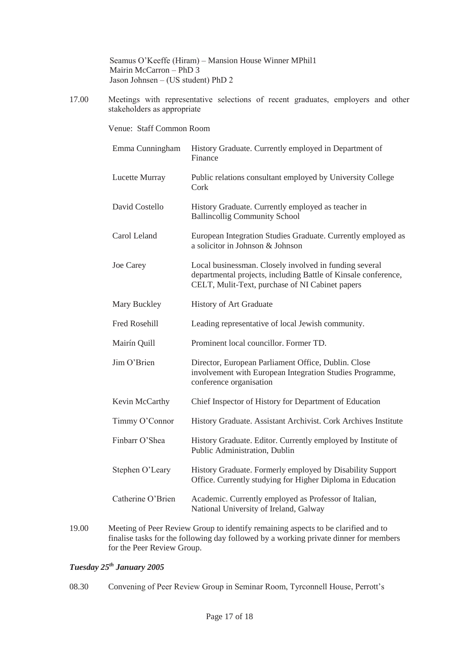Seamus O'Keeffe (Hiram) – Mansion House Winner MPhil1 Mairin McCarron – PhD 3 Jason Johnsen – (US student) PhD 2

17.00 Meetings with representative selections of recent graduates, employers and other stakeholders as appropriate

Venue: Staff Common Room

| Emma Cunningham      | History Graduate. Currently employed in Department of<br>Finance                                                                                                            |
|----------------------|-----------------------------------------------------------------------------------------------------------------------------------------------------------------------------|
| Lucette Murray       | Public relations consultant employed by University College<br>Cork                                                                                                          |
| David Costello       | History Graduate. Currently employed as teacher in<br><b>Ballincollig Community School</b>                                                                                  |
| Carol Leland         | European Integration Studies Graduate. Currently employed as<br>a solicitor in Johnson & Johnson                                                                            |
| Joe Carey            | Local businessman. Closely involved in funding several<br>departmental projects, including Battle of Kinsale conference,<br>CELT, Mulit-Text, purchase of NI Cabinet papers |
| Mary Buckley         | <b>History of Art Graduate</b>                                                                                                                                              |
| <b>Fred Rosehill</b> | Leading representative of local Jewish community.                                                                                                                           |
| Mairín Quill         | Prominent local councillor. Former TD.                                                                                                                                      |
| Jim O'Brien          | Director, European Parliament Office, Dublin. Close<br>involvement with European Integration Studies Programme,<br>conference organisation                                  |
| Kevin McCarthy       | Chief Inspector of History for Department of Education                                                                                                                      |
| Timmy O'Connor       | History Graduate. Assistant Archivist. Cork Archives Institute                                                                                                              |
| Finbarr O'Shea       | History Graduate. Editor. Currently employed by Institute of<br>Public Administration, Dublin                                                                               |
| Stephen O'Leary      | History Graduate. Formerly employed by Disability Support<br>Office. Currently studying for Higher Diploma in Education                                                     |
| Catherine O'Brien    | Academic. Currently employed as Professor of Italian,<br>National University of Ireland, Galway                                                                             |

19.00 Meeting of Peer Review Group to identify remaining aspects to be clarified and to finalise tasks for the following day followed by a working private dinner for members for the Peer Review Group.

## *Tuesday 25th January 2005*

08.30 Convening of Peer Review Group in Seminar Room, Tyrconnell House, Perrott's